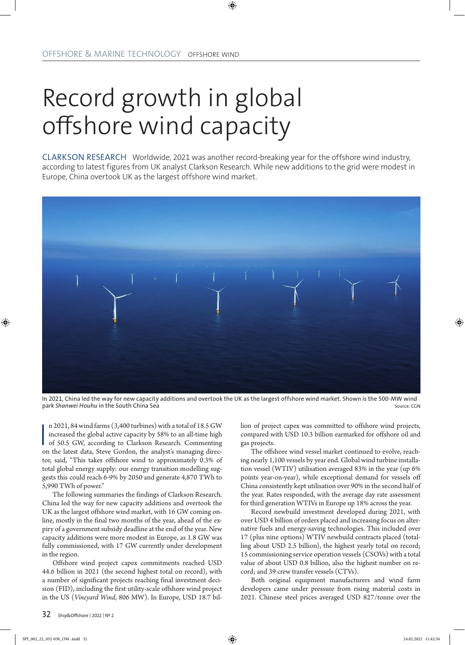## Record growth in global offshore wind capacity

CLARKSON RESEARCH Worldwide, 2021 was another record-breaking year for the offshore wind industry, according to latest figures from UK analyst Clarkson Research. While new additions to the grid were modest in Europe, China overtook UK as the largest offshore wind market.



In 2021, China led the way for new capacity additions and overtook the UK as the largest offshore wind market. Shown is the 500-MW wind park *Shanwei Houhu* in the South China Sea Source: CGN

n 2021, 84 wind farms (3,400 turbines) with a total of 18.5 GW increased the global active capacity by 58% to an all-time high of 50.5 GW, according to Clarkson Research. Commenting on the latest data, Steve Gordon, the an n 2021, 84 wind farms (3,400 turbines) with a total of 18.5 GW increased the global active capacity by 58% to an all-time high of 50.5 GW, according to Clarkson Research. Commenting tor, said, "This takes offshore wind to approximately 0.3% of total global energy supply: our energy transition modelling suggests this could reach 6-9% by 2050 and generate 4,870 TWh to 5,990 TWh of power."

The following summaries the findings of Clarkson Research. China led the way for new capacity additions and overtook the UK as the largest offshore wind market, with 16 GW coming online, mostly in the final two months of the year, ahead of the expiry of a government subsidy deadline at the end of the year. New capacity additions were more modest in Europe, as 1.8 GW was fully commissioned, with 17 GW currently under development in the region.

Offshore wind project capex commitments reached USD 44.6 billion in 2021 (the second highest total on record), with a number of significant projects reaching final investment decision (FID), including the first utility-scale offshore wind project in the US (*Vineyard Wind*, 806 MW). In Europe, USD 18.7 billion of project capex was committed to offshore wind projects, compared with USD 10.3 billion earmarked for offshore oil and gas projects.

The offshore wind vessel market continued to evolve, reaching nearly 1,100 vessels by year end. Global wind turbine installation vessel (WTIV) utilisation averaged 83% in the year (up 6% points year-on-year), while exceptional demand for vessels off China consistently kept utilisation over 90% in the second half of the year. Rates responded, with the average day rate assessment for third generation WTIVs in Europe up 18% across the year.

Record newbuild investment developed during 2021, with over USD 4 billion of orders placed and increasing focus on alternative fuels and energy-saving technologies. This included over 17 (plus nine options) WTIV newbuild contracts placed (totalling about USD 2.5 billion), the highest yearly total on record; 15 commissioning service operation vessels (CSOVs) with a total value of about USD 0.8 billion, also the highest number on record; and 39 crew transfer vessels (CTVs).

Both original equipment manufacturers and wind farm developers came under pressure from rising material costs in 2021. Chinese steel prices averaged USD 827/tonne over the